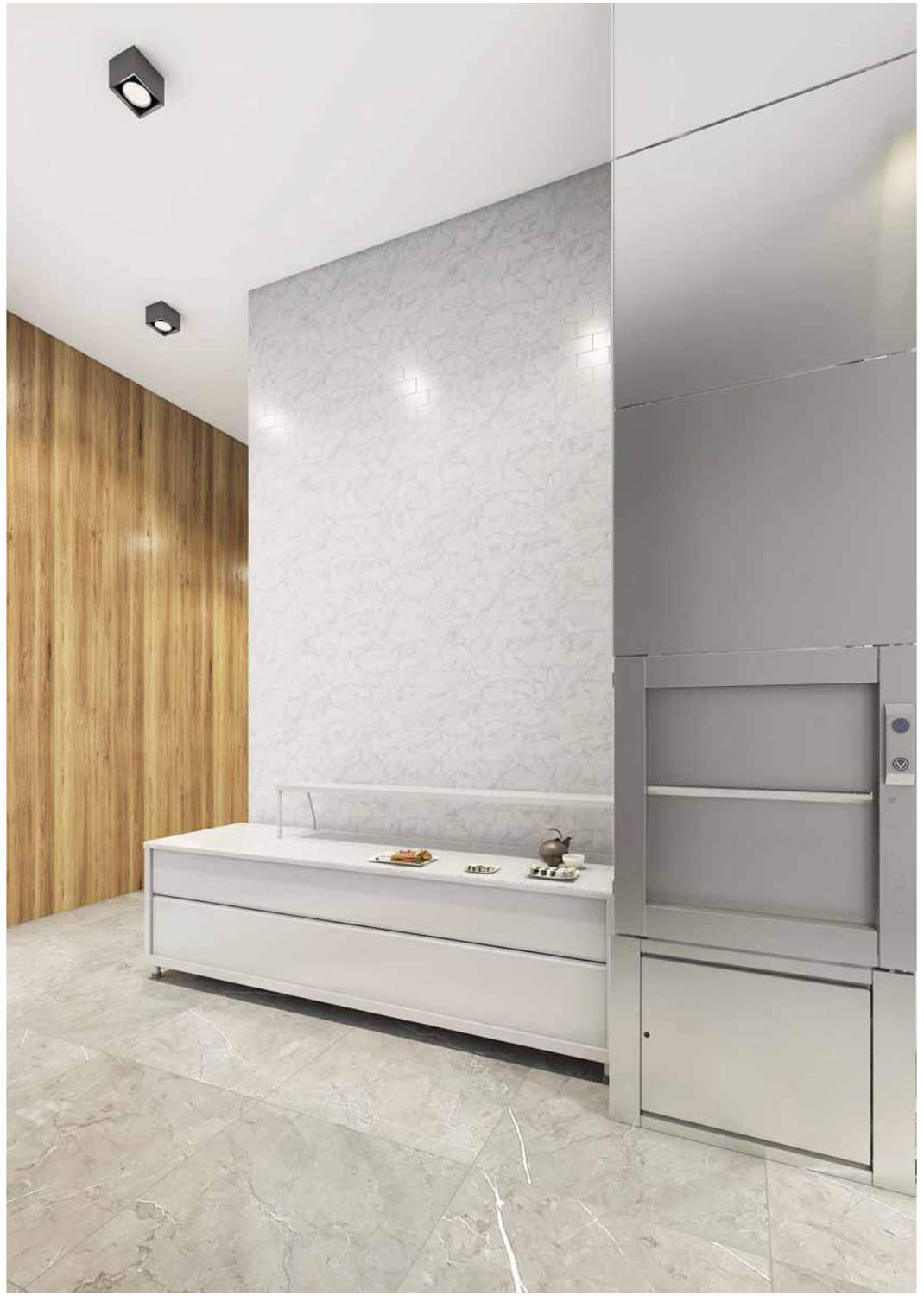